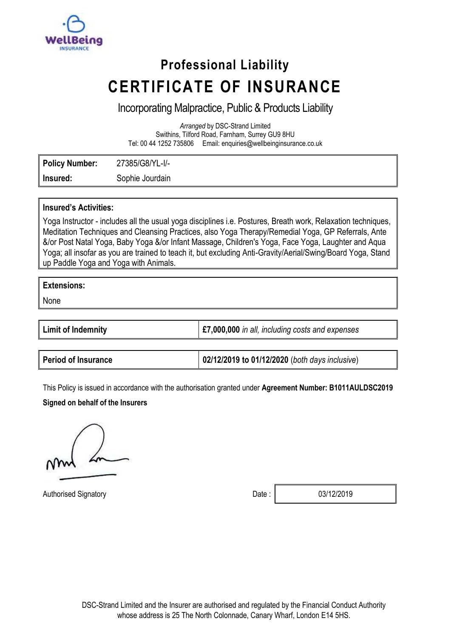

# **Professional Liability CERTIFICATE OF INSURANCE**

# Incorporating Malpractice, Public & Products Liability

*Arranged* by DSC-Strand Limited Swithins, Tilford Road, Farnham, Surrey GU9 8HU Tel: 00 44 1252 735806 Email: enquiries@wellbeinginsurance.co.uk

**Policy Number:** 27385/G8/YL-I/- **Insured:** Sophie Jourdain

## **Insured's Activities:**

Yoga Instructor - includes all the usual yoga disciplines i.e. Postures, Breath work, Relaxation techniques, Meditation Techniques and Cleansing Practices, also Yoga Therapy/Remedial Yoga, GP Referrals, Ante &/or Post Natal Yoga, Baby Yoga &/or Infant Massage, Children's Yoga, Face Yoga, Laughter and Aqua Yoga; all insofar as you are trained to teach it, but excluding Anti-Gravity/Aerial/Swing/Board Yoga, Stand up Paddle Yoga and Yoga with Animals.

## **Extensions:**

None

| <b>Limit of Indemnity</b> | £7,000,000 in all, including costs and expenses |
|---------------------------|-------------------------------------------------|
|                           |                                                 |

| <b>Period of Insurance</b> | 02/12/2019 to 01/12/2020 (both days inclusive) |
|----------------------------|------------------------------------------------|
|----------------------------|------------------------------------------------|

This Policy is issued in accordance with the authorisation granted under **Agreement Number: B1011AULDSC2019**

## **Signed on behalf of the Insurers**

Authorised Signatory **Date :** 03/12/2019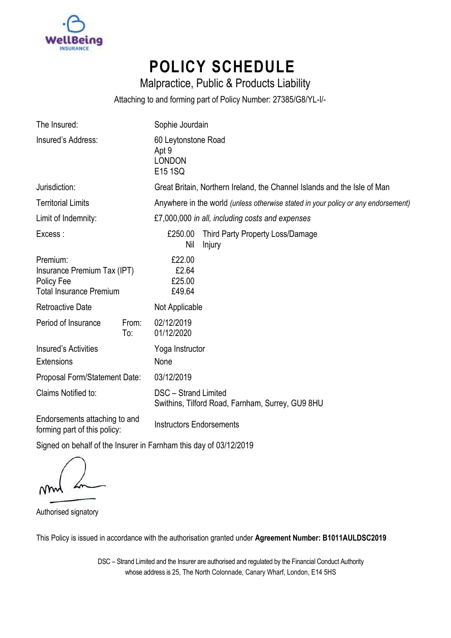

# **POLICY SCHEDULE**

Malpractice, Public & Products Liability

Attaching to and forming part of Policy Number: 27385/G8/YL-I/-

| The Insured:                                                                            |              | Sophie Jourdain                                                                   |                                            |  |
|-----------------------------------------------------------------------------------------|--------------|-----------------------------------------------------------------------------------|--------------------------------------------|--|
| Insured's Address:                                                                      |              | 60 Leytonstone Road<br>Apt 9<br><b>LONDON</b><br>E15 1SQ                          |                                            |  |
| Jurisdiction:                                                                           |              | Great Britain, Northern Ireland, the Channel Islands and the Isle of Man          |                                            |  |
| <b>Territorial Limits</b>                                                               |              | Anywhere in the world (unless otherwise stated in your policy or any endorsement) |                                            |  |
| Limit of Indemnity:                                                                     |              | £7,000,000 in all, including costs and expenses                                   |                                            |  |
| Excess:                                                                                 |              | £250.00<br>Nil                                                                    | Third Party Property Loss/Damage<br>Injury |  |
| Premium:<br>Insurance Premium Tax (IPT)<br>Policy Fee<br><b>Total Insurance Premium</b> |              | £22.00<br>£2.64<br>£25.00<br>£49.64                                               |                                            |  |
| <b>Retroactive Date</b>                                                                 |              | Not Applicable                                                                    |                                            |  |
| Period of Insurance                                                                     | From:<br>To: | 02/12/2019<br>01/12/2020                                                          |                                            |  |
| Insured's Activities<br><b>Extensions</b>                                               |              | Yoga Instructor<br>None                                                           |                                            |  |
| Proposal Form/Statement Date:                                                           |              | 03/12/2019                                                                        |                                            |  |
| Claims Notified to:                                                                     |              | DSC - Strand Limited<br>Swithins, Tilford Road, Farnham, Surrey, GU9 8HU          |                                            |  |
| Endorsements attaching to and                                                           |              |                                                                                   |                                            |  |

Endorsements attaching to and forming part of this policy: Instructors Endorsements

Signed on behalf of the Insurer in Farnham this day of 03/12/2019

Authorised signatory

This Policy is issued in accordance with the authorisation granted under **Agreement Number: B1011AULDSC2019**

DSC – Strand Limited and the Insurer are authorised and regulated by the Financial Conduct Authority whose address is 25, The North Colonnade, Canary Wharf, London, E14 5HS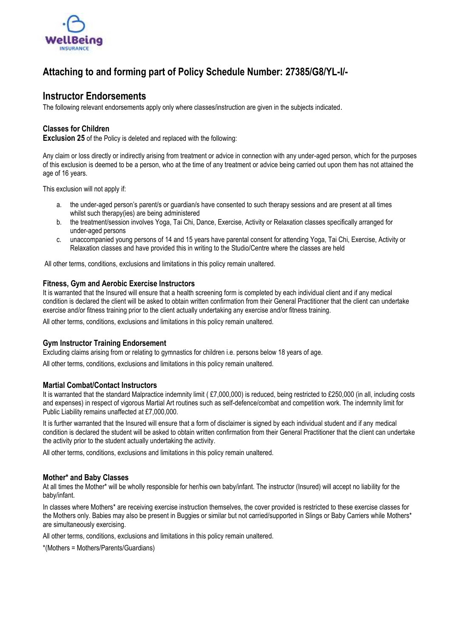

## **Attaching to and forming part of Policy Schedule Number: 27385/G8/YL-I/-**

### **Instructor Endorsements**

The following relevant endorsements apply only where classes/instruction are given in the subjects indicated.

#### **Classes for Children**

**Exclusion 25** of the Policy is deleted and replaced with the following:

Any claim or loss directly or indirectly arising from treatment or advice in connection with any under-aged person, which for the purposes of this exclusion is deemed to be a person, who at the time of any treatment or advice being carried out upon them has not attained the age of 16 years.

This exclusion will not apply if:

- a. the under-aged person's parent/s or guardian/s have consented to such therapy sessions and are present at all times whilst such therapy(ies) are being administered
- b. the treatment/session involves Yoga, Tai Chi, Dance, Exercise, Activity or Relaxation classes specifically arranged for under-aged persons
- c. unaccompanied young persons of 14 and 15 years have parental consent for attending Yoga, Tai Chi, Exercise, Activity or Relaxation classes and have provided this in writing to the Studio/Centre where the classes are held

All other terms, conditions, exclusions and limitations in this policy remain unaltered.

#### **Fitness, Gym and Aerobic Exercise Instructors**

It is warranted that the Insured will ensure that a health screening form is completed by each individual client and if any medical condition is declared the client will be asked to obtain written confirmation from their General Practitioner that the client can undertake exercise and/or fitness training prior to the client actually undertaking any exercise and/or fitness training.

All other terms, conditions, exclusions and limitations in this policy remain unaltered.

#### **Gym Instructor Training Endorsement**

Excluding claims arising from or relating to gymnastics for children i.e. persons below 18 years of age.

All other terms, conditions, exclusions and limitations in this policy remain unaltered.

#### **Martial Combat/Contact Instructors**

It is warranted that the standard Malpractice indemnity limit (£7,000,000) is reduced, being restricted to £250,000 (in all, including costs and expenses) in respect of vigorous Martial Art routines such as self-defence/combat and competition work. The indemnity limit for Public Liability remains unaffected at £7,000,000.

It is further warranted that the Insured will ensure that a form of disclaimer is signed by each individual student and if any medical condition is declared the student will be asked to obtain written confirmation from their General Practitioner that the client can undertake the activity prior to the student actually undertaking the activity.

All other terms, conditions, exclusions and limitations in this policy remain unaltered.

#### **Mother\* and Baby Classes**

At all times the Mother\* will be wholly responsible for her/his own baby/infant. The instructor (Insured) will accept no liability for the baby/infant.

In classes where Mothers\* are receiving exercise instruction themselves, the cover provided is restricted to these exercise classes for the Mothers only. Babies may also be present in Buggies or similar but not carried/supported in Slings or Baby Carriers while Mothers\* are simultaneously exercising.

All other terms, conditions, exclusions and limitations in this policy remain unaltered.

\*(Mothers = Mothers/Parents/Guardians)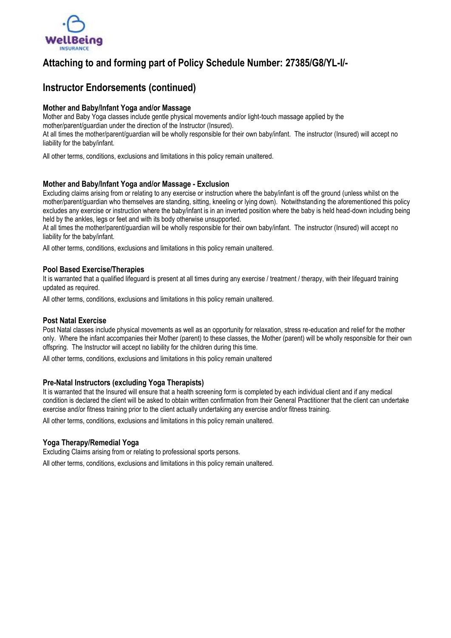

## **Attaching to and forming part of Policy Schedule Number: 27385/G8/YL-I/-**

## **Instructor Endorsements (continued)**

#### **Mother and Baby/Infant Yoga and/or Massage**

Mother and Baby Yoga classes include gentle physical movements and/or light-touch massage applied by the mother/parent/guardian under the direction of the Instructor (Insured). At all times the mother/parent/guardian will be wholly responsible for their own baby/infant. The instructor (Insured) will accept no liability for the baby/infant.

All other terms, conditions, exclusions and limitations in this policy remain unaltered.

#### **Mother and Baby/Infant Yoga and/or Massage - Exclusion**

Excluding claims arising from or relating to any exercise or instruction where the baby/infant is off the ground (unless whilst on the mother/parent/guardian who themselves are standing, sitting, kneeling or lying down). Notwithstanding the aforementioned this policy excludes any exercise or instruction where the baby/infant is in an inverted position where the baby is held head-down including being held by the ankles, legs or feet and with its body otherwise unsupported.

At all times the mother/parent/guardian will be wholly responsible for their own baby/infant. The instructor (Insured) will accept no liability for the baby/infant.

All other terms, conditions, exclusions and limitations in this policy remain unaltered.

#### **Pool Based Exercise/Therapies**

It is warranted that a qualified lifeguard is present at all times during any exercise / treatment / therapy, with their lifeguard training updated as required.

All other terms, conditions, exclusions and limitations in this policy remain unaltered.

#### **Post Natal Exercise**

Post Natal classes include physical movements as well as an opportunity for relaxation, stress re-education and relief for the mother only. Where the infant accompanies their Mother (parent) to these classes, the Mother (parent) will be wholly responsible for their own offspring. The Instructor will accept no liability for the children during this time.

All other terms, conditions, exclusions and limitations in this policy remain unaltered

#### **Pre-Natal Instructors (excluding Yoga Therapists)**

It is warranted that the Insured will ensure that a health screening form is completed by each individual client and if any medical condition is declared the client will be asked to obtain written confirmation from their General Practitioner that the client can undertake exercise and/or fitness training prior to the client actually undertaking any exercise and/or fitness training.

All other terms, conditions, exclusions and limitations in this policy remain unaltered.

#### **Yoga Therapy/Remedial Yoga**

Excluding Claims arising from or relating to professional sports persons.

All other terms, conditions, exclusions and limitations in this policy remain unaltered.